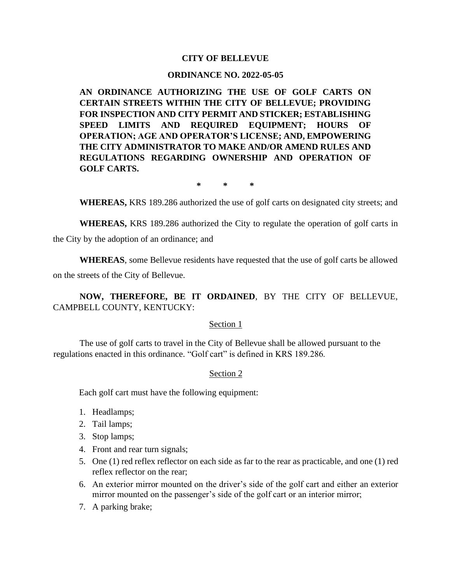# **CITY OF BELLEVUE**

### **ORDINANCE NO. 2022-05-05**

**AN ORDINANCE AUTHORIZING THE USE OF GOLF CARTS ON CERTAIN STREETS WITHIN THE CITY OF BELLEVUE; PROVIDING FOR INSPECTION AND CITY PERMIT AND STICKER; ESTABLISHING SPEED LIMITS AND REQUIRED EQUIPMENT; HOURS OF OPERATION; AGE AND OPERATOR'S LICENSE; AND, EMPOWERING THE CITY ADMINISTRATOR TO MAKE AND/OR AMEND RULES AND REGULATIONS REGARDING OWNERSHIP AND OPERATION OF GOLF CARTS.**

**\* \* \***

**WHEREAS,** KRS 189.286 authorized the use of golf carts on designated city streets; and

**WHEREAS,** KRS 189.286 authorized the City to regulate the operation of golf carts in the City by the adoption of an ordinance; and

**WHEREAS**, some Bellevue residents have requested that the use of golf carts be allowed on the streets of the City of Bellevue.

**NOW, THEREFORE, BE IT ORDAINED**, BY THE CITY OF BELLEVUE, CAMPBELL COUNTY, KENTUCKY:

### Section 1

The use of golf carts to travel in the City of Bellevue shall be allowed pursuant to the regulations enacted in this ordinance. "Golf cart" is defined in KRS 189.286.

### Section 2

Each golf cart must have the following equipment:

- 1. Headlamps;
- 2. Tail lamps;
- 3. Stop lamps;
- 4. Front and rear turn signals;
- 5. One (1) red reflex reflector on each side as far to the rear as practicable, and one (1) red reflex reflector on the rear;
- 6. An exterior mirror mounted on the driver's side of the golf cart and either an exterior mirror mounted on the passenger's side of the golf cart or an interior mirror;
- 7. A parking brake;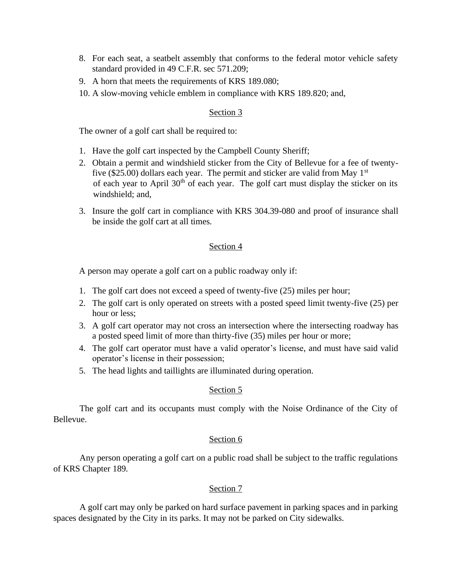- 8. For each seat, a seatbelt assembly that conforms to the federal motor vehicle safety standard provided in 49 C.F.R. sec 571.209;
- 9. A horn that meets the requirements of KRS 189.080;
- 10. A slow-moving vehicle emblem in compliance with KRS 189.820; and,

# Section 3

The owner of a golf cart shall be required to:

- 1. Have the golf cart inspected by the Campbell County Sheriff;
- 2. Obtain a permit and windshield sticker from the City of Bellevue for a fee of twentyfive (\$25.00) dollars each year. The permit and sticker are valid from May  $1<sup>st</sup>$ of each year to April 30<sup>th</sup> of each year. The golf cart must display the sticker on its windshield; and,
- 3. Insure the golf cart in compliance with KRS 304.39-080 and proof of insurance shall be inside the golf cart at all times.

## Section 4

A person may operate a golf cart on a public roadway only if:

- 1. The golf cart does not exceed a speed of twenty-five (25) miles per hour;
- 2. The golf cart is only operated on streets with a posted speed limit twenty-five (25) per hour or less;
- 3. A golf cart operator may not cross an intersection where the intersecting roadway has a posted speed limit of more than thirty-five (35) miles per hour or more;
- 4. The golf cart operator must have a valid operator's license, and must have said valid operator's license in their possession;
- 5. The head lights and taillights are illuminated during operation.

# Section 5

The golf cart and its occupants must comply with the Noise Ordinance of the City of Bellevue.

### Section 6

Any person operating a golf cart on a public road shall be subject to the traffic regulations of KRS Chapter 189.

### Section 7

A golf cart may only be parked on hard surface pavement in parking spaces and in parking spaces designated by the City in its parks. It may not be parked on City sidewalks.